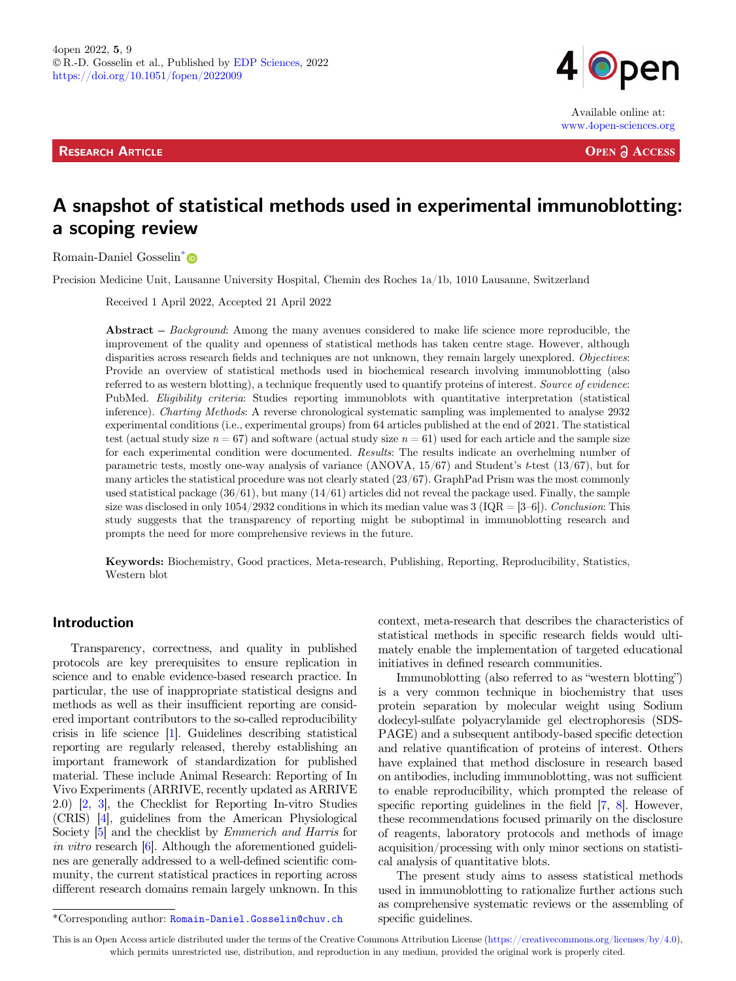**RESEARCH ARTICLE** 



Available online at: www.4open-sciences.org

**OPEN ACCESS** 

# A snapshot of statistical methods used in experimental immunoblotting: a scoping review

Romain-Daniel Gosselin[\\*](https://orcid.org/0000-0003-1716-6210)

Precision Medicine Unit, Lausanne University Hospital, Chemin des Roches 1a/1b, 1010 Lausanne, Switzerland

Received 1 April 2022, Accepted 21 April 2022

Abstract – Background: Among the many avenues considered to make life science more reproducible, the improvement of the quality and openness of statistical methods has taken centre stage. However, although disparities across research fields and techniques are not unknown, they remain largely unexplored. Objectives: Provide an overview of statistical methods used in biochemical research involving immunoblotting (also referred to as western blotting), a technique frequently used to quantify proteins of interest. Source of evidence: PubMed. Eligibility criteria: Studies reporting immunoblots with quantitative interpretation (statistical inference). Charting Methods: A reverse chronological systematic sampling was implemented to analyse 2932 experimental conditions (i.e., experimental groups) from 64 articles published at the end of 2021. The statistical test (actual study size  $n = 67$ ) and software (actual study size  $n = 61$ ) used for each article and the sample size for each experimental condition were documented. Results: The results indicate an overhelming number of parametric tests, mostly one-way analysis of variance (ANOVA,  $15/67$ ) and Student's t-test ( $13/67$ ), but for many articles the statistical procedure was not clearly stated (23/67). GraphPad Prism was the most commonly used statistical package (36/61), but many (14/61) articles did not reveal the package used. Finally, the sample<br>size was disclosed in only 1054/2932 conditions in which its median value was 3 (IQR = [3–6]). Conclusion: T study suggests that the transparency of reporting might be suboptimal in immunoblotting research and prompts the need for more comprehensive reviews in the future.

Keywords: Biochemistry, Good practices, Meta-research, Publishing, Reporting, Reproducibility, Statistics, Western blot

## Introduction

Transparency, correctness, and quality in published protocols are key prerequisites to ensure replication in science and to enable evidence-based research practice. In particular, the use of inappropriate statistical designs and methods as well as their insufficient reporting are considered important contributors to the so-called reproducibility crisis in life science [[1](#page-5-0)]. Guidelines describing statistical reporting are regularly released, thereby establishing an important framework of standardization for published material. These include Animal Research: Reporting of In Vivo Experiments (ARRIVE, recently updated as ARRIVE 2.0) [[2](#page-5-0), [3](#page-5-0)], the Checklist for Reporting In-vitro Studies (CRIS) [\[4](#page-5-0)], guidelines from the American Physiological Society [\[5\]](#page-5-0) and the checklist by Emmerich and Harris for in vitro research [\[6](#page-5-0)]. Although the aforementioned guidelines are generally addressed to a well-defined scientific community, the current statistical practices in reporting across different research domains remain largely unknown. In this context, meta-research that describes the characteristics of statistical methods in specific research fields would ultimately enable the implementation of targeted educational initiatives in defined research communities.

Immunoblotting (also referred to as "western blotting") is a very common technique in biochemistry that uses protein separation by molecular weight using Sodium dodecyl-sulfate polyacrylamide gel electrophoresis (SDS-PAGE) and a subsequent antibody-based specific detection and relative quantification of proteins of interest. Others have explained that method disclosure in research based on antibodies, including immunoblotting, was not sufficient to enable reproducibility, which prompted the release of specific reporting guidelines in the field [\[7](#page-5-0), [8](#page-5-0)]. However, these recommendations focused primarily on the disclosure of reagents, laboratory protocols and methods of image acquisition/processing with only minor sections on statistical analysis of quantitative blots.

The present study aims to assess statistical methods used in immunoblotting to rationalize further actions such as comprehensive systematic reviews or the assembling of

This is an Open Access article distributed under the terms of the Creative Commons Attribution License [\(https://creativecommons.org/licenses/by/4.0\)](https://creativecommons.org/licenses/by/4.0/), which permits unrestricted use, distribution, and reproduction in any medium, provided the original work is properly cited.

<sup>\*</sup>Corresponding author: Romain-Daniel.Gosselin@chuv.ch specific guidelines.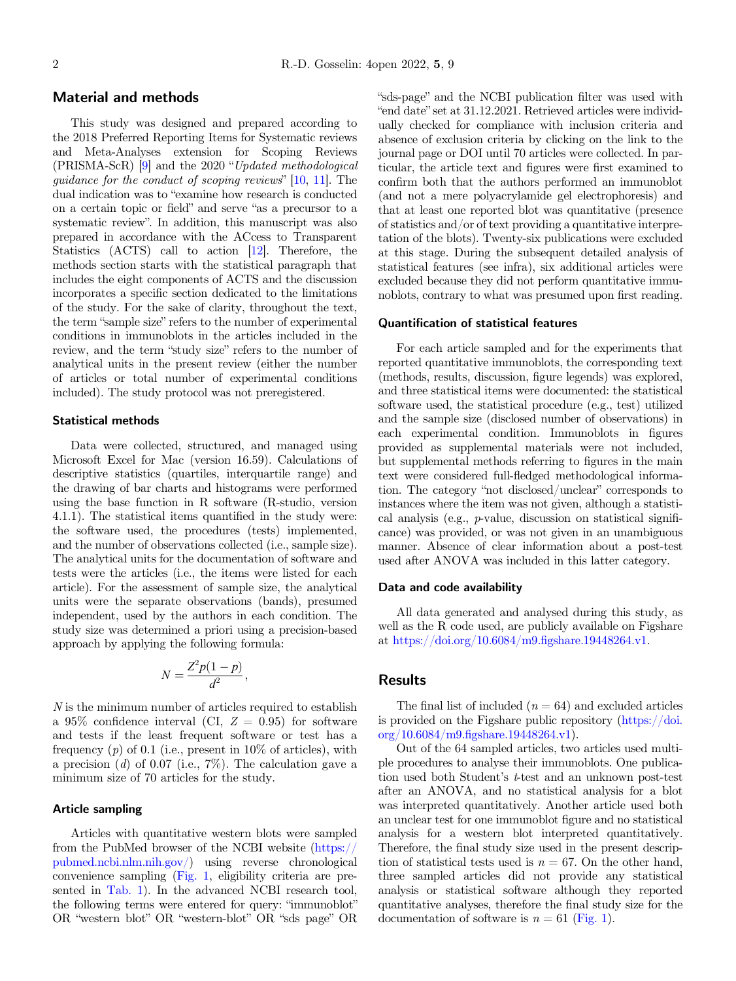## Material and methods

This study was designed and prepared according to the 2018 Preferred Reporting Items for Systematic reviews and Meta-Analyses extension for Scoping Reviews<br>(PRISMA-ScR) [[9\]](#page-5-0) and the 2020 "Updated methodological (PRISMA-ScR)  $[9]$  and the 2020 "Updated methodological quidance for the conduct of scoping reviews"  $[10, 11]$ . The dual indication was to "examine how research is conducted" on a certain topic or field" and serve "as a precursor to a systematic review". In addition, this manuscript was also prepared in accordance with the ACcess to Transparent Statistics (ACTS) call to action [\[12\]](#page-5-0). Therefore, the methods section starts with the statistical paragraph that includes the eight components of ACTS and the discussion incorporates a specific section dedicated to the limitations of the study. For the sake of clarity, throughout the text, the term "sample size" refers to the number of experimental conditions in immunoblots in the articles included in the the term "sample size" refers to the number of experimental conditions in immunoblots in the articles included in the review, and the term "study size" refers to the number of analytical units in the present review (either the number of articles or total number of experimental conditions included). The study protocol was not preregistered.

#### Statistical methods

Data were collected, structured, and managed using Microsoft Excel for Mac (version 16.59). Calculations of descriptive statistics (quartiles, interquartile range) and the drawing of bar charts and histograms were performed using the base function in R software (R-studio, version 4.1.1). The statistical items quantified in the study were: the software used, the procedures (tests) implemented, and the number of observations collected (i.e., sample size). The analytical units for the documentation of software and tests were the articles (i.e., the items were listed for each article). For the assessment of sample size, the analytical units were the separate observations (bands), presumed independent, used by the authors in each condition. The study size was determined a priori using a precision-based approach by applying the following formula:

$$
N = \frac{Z^2 p(1-p)}{d^2},
$$

N is the minimum number of articles required to establish a 95% confidence interval (CI,  $Z = 0.95$ ) for software and tests if the least frequent software or test has a frequency  $(p)$  of 0.1 (i.e., present in 10% of articles), with a precision  $(d)$  of 0.07 (i.e., 7%). The calculation gave a minimum size of 70 articles for the study.

#### Article sampling

Articles with quantitative western blots were sampled from the PubMed browser of the NCBI website ([https://](https://pubmed.ncbi.nlm.nih.gov/) [pubmed.ncbi.nlm.nih.gov/\)](https://pubmed.ncbi.nlm.nih.gov/) using reverse chronological convenience sampling [\(Fig. 1](#page-2-0), eligibility criteria are pre-sented in [Tab. 1\)](#page-2-0). In the advanced NCBI research tool, the following terms were entered for query: "immunoblot" the following terms were entered for query: "immunoblot" OR "western-blot" OR "sds page" OR

sds-page" and the NCBI publication filter was used with "end date" set at 31.12.2021. Retrieved articles were individually checked for compliance with inclusion criteria and absence of exclusion criteria by clicking on the link to the journal page or DOI until 70 articles were collected. In particular, the article text and figures were first examined to confirm both that the authors performed an immunoblot (and not a mere polyacrylamide gel electrophoresis) and that at least one reported blot was quantitative (presence of statistics and/or of text providing a quantitative interpretation of the blots). Twenty-six publications were excluded at this stage. During the subsequent detailed analysis of statistical features (see infra), six additional articles were excluded because they did not perform quantitative immunoblots, contrary to what was presumed upon first reading.

#### Quantification of statistical features

For each article sampled and for the experiments that reported quantitative immunoblots, the corresponding text (methods, results, discussion, figure legends) was explored, and three statistical items were documented: the statistical software used, the statistical procedure (e.g., test) utilized and the sample size (disclosed number of observations) in each experimental condition. Immunoblots in figures provided as supplemental materials were not included, but supplemental methods referring to figures in the main text were considered full-fledged methodological informa-tion. The category "not disclosed/unclear" corresponds to instances where the item was not given, although a statistical analysis (e.g., p-value, discussion on statistical significance) was provided, or was not given in an unambiguous manner. Absence of clear information about a post-test used after ANOVA was included in this latter category.

#### Data and code availability

All data generated and analysed during this study, as well as the R code used, are publicly available on Figshare at [https://doi.org/10.6084/m9.](https://doi.org/10.6084/m9.figshare.19448264.v1)figshare.19448264.v1.

# Results

The final list of included  $(n = 64)$  and excluded articles is provided on the Figshare public repository [\(https://doi.](https://doi.org/10.6084/m9.figshare.19448264.v1) org/10.6084/m9.fi[gshare.19448264.v1](https://doi.org/10.6084/m9.figshare.19448264.v1)).

Out of the 64 sampled articles, two articles used multiple procedures to analyse their immunoblots. One publication used both Student's *t*-test and an unknown post-test after an ANOVA, and no statistical analysis for a blot was interpreted quantitatively. Another article used both an unclear test for one immunoblot figure and no statistical analysis for a western blot interpreted quantitatively. Therefore, the final study size used in the present description of statistical tests used is  $n = 67$ . On the other hand, three sampled articles did not provide any statistical analysis or statistical software although they reported quantitative analyses, therefore the final study size for the documentation of software is  $n = 61$  [\(Fig. 1\)](#page-2-0).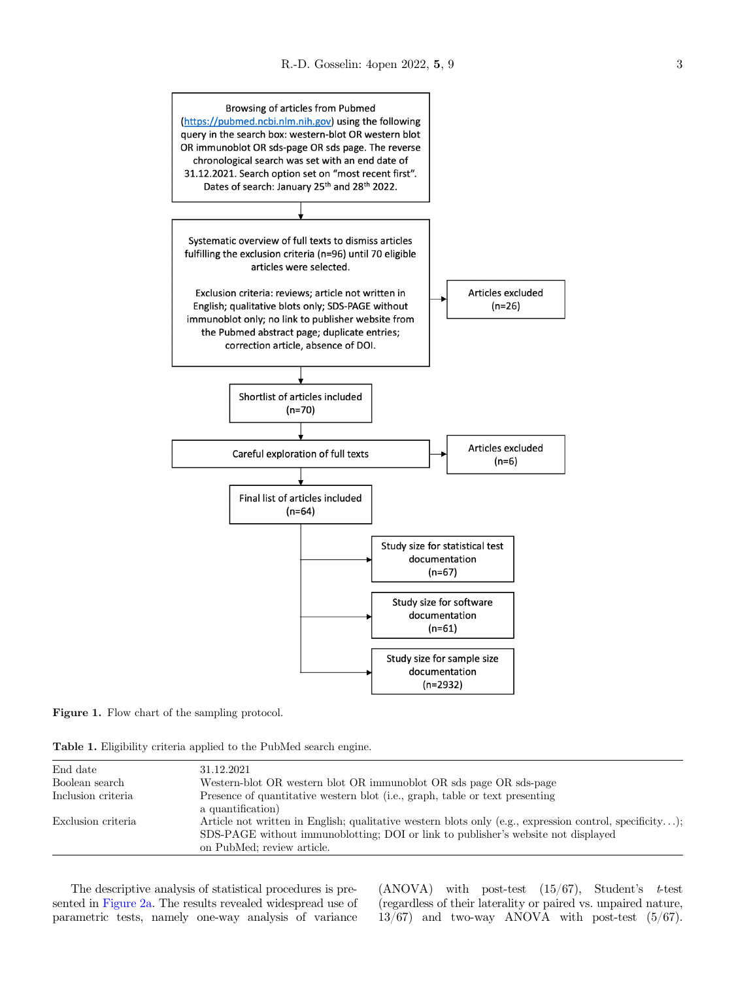<span id="page-2-0"></span>



Table 1. Eligibility criteria applied to the PubMed search engine.

| End date           | 31.12.2021                                                                                                                                                                                                                 |
|--------------------|----------------------------------------------------------------------------------------------------------------------------------------------------------------------------------------------------------------------------|
| Boolean search     | Western-blot OR western blot OR immunoblot OR sds page OR sds-page                                                                                                                                                         |
| Inclusion criteria | Presence of quantitative western blot (i.e., graph, table or text presenting                                                                                                                                               |
|                    | a quantification)                                                                                                                                                                                                          |
| Exclusion criteria | Article not written in English; qualitative western blots only (e.g., expression control, specificity);<br>SDS-PAGE without immunoblotting; DOI or link to publisher's website not displayed<br>on PubMed; review article. |

The descriptive analysis of statistical procedures is presented in [Figure 2a.](#page-3-0) The results revealed widespread use of parametric tests, namely one-way analysis of variance

(ANOVA) with post-test  $(15/67)$ , Student's t-test (regardless of their laterality or paired vs. unpaired nature, 13/67) and two-way ANOVA with post-test (5/67).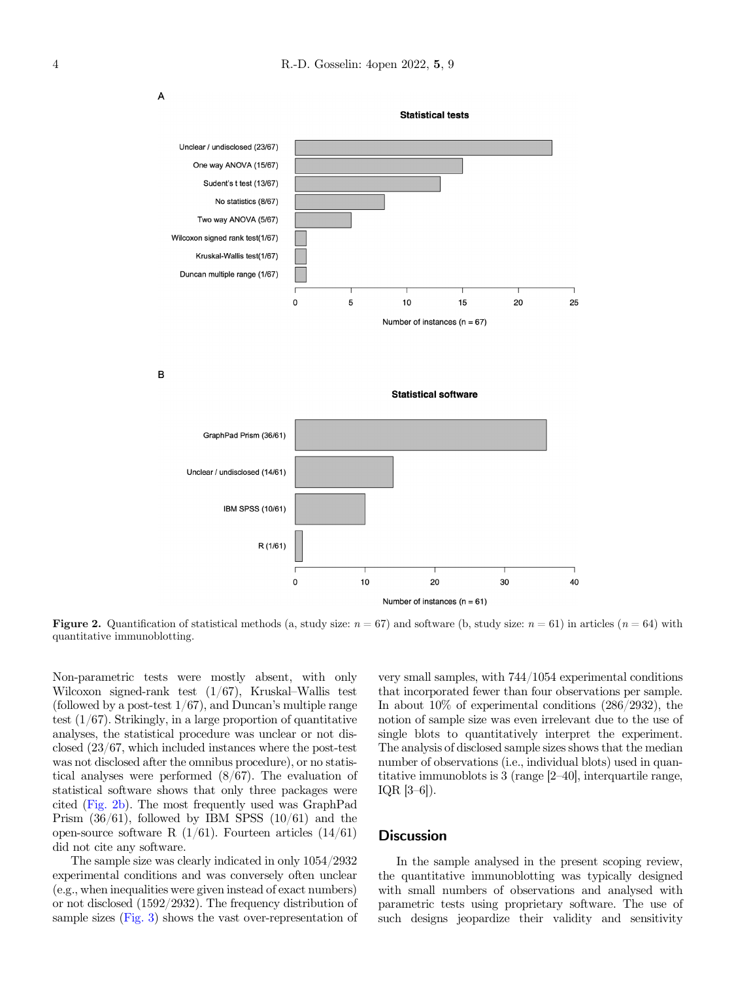<span id="page-3-0"></span>

B

 $\overline{A}$ 



**Statistical software** 

**Figure 2.** Quantification of statistical methods (a, study size:  $n = 67$ ) and software (b, study size:  $n = 61$ ) in articles ( $n = 64$ ) with quantitative immunoblotting.

Non-parametric tests were mostly absent, with only Wilcoxon signed-rank test  $(1/67)$ , Kruskal–Wallis test Wilcoxon signed-rank test  $(1/67)$ , Kruskal–Wallis test (followed by a post-test 1/67), and Duncan's multiple range test  $(1/67)$ . Strikingly, in a large proportion of quantitative analyses, the statistical procedure was unclear or not disclosed (23/67, which included instances where the post-test was not disclosed after the omnibus procedure), or no statistical analyses were performed (8/67). The evaluation of statistical software shows that only three packages were cited (Fig. 2b). The most frequently used was GraphPad Prism  $(36/61)$ , followed by IBM SPSS  $(10/61)$  and the open-source software R  $(1/61)$ . Fourteen articles  $(14/61)$ did not cite any software.

The sample size was clearly indicated in only 1054/2932 experimental conditions and was conversely often unclear (e.g., when inequalities were given instead of exact numbers) or not disclosed (1592/2932). The frequency distribution of sample sizes [\(Fig. 3\)](#page-4-0) shows the vast over-representation of

very small samples, with 744/1054 experimental conditions that incorporated fewer than four observations per sample. In about 10% of experimental conditions (286/2932), the notion of sample size was even irrelevant due to the use of single blots to quantitatively interpret the experiment. The analysis of disclosed sample sizes shows that the median number of observations (i.e., individual blots) used in quanthe immunoblots is 3 (range [2–40], interquartile range, Interaction<br>IQR [3–6]).

## **Discussion**

In the sample analysed in the present scoping review, the quantitative immunoblotting was typically designed with small numbers of observations and analysed with parametric tests using proprietary software. The use of such designs jeopardize their validity and sensitivity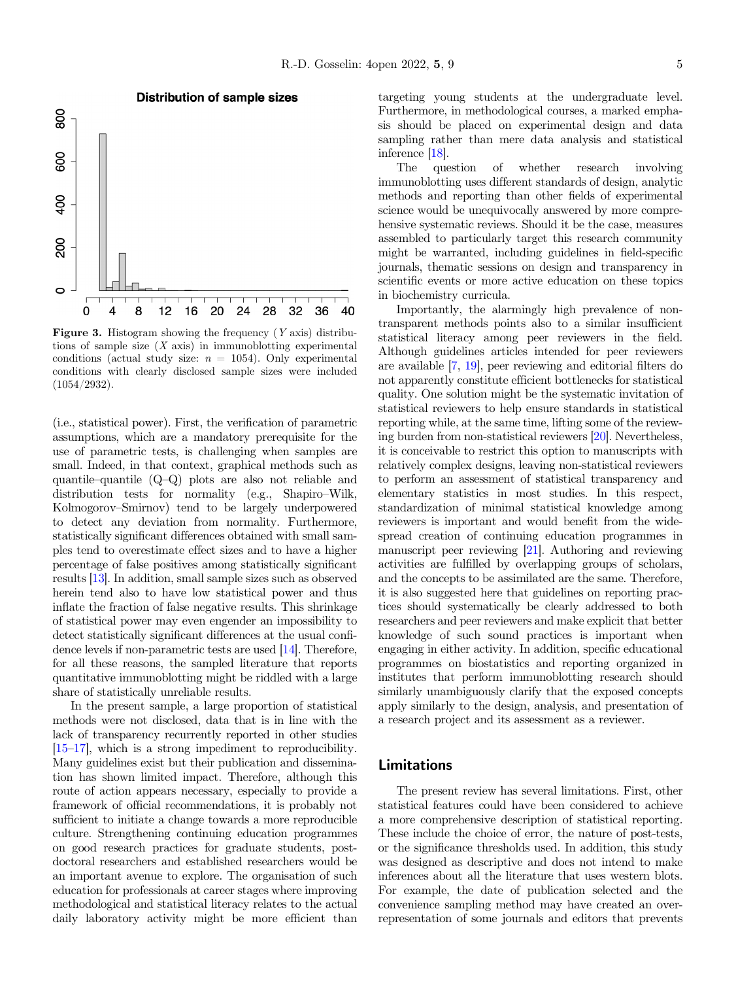inference [[18\]](#page-6-0). The question of whether research involving immunoblotting uses different standards of design, analytic methods and reporting than other fields of experimental science would be unequivocally answered by more comprehensive systematic reviews. Should it be the case, measures assembled to particularly target this research community might be warranted, including guidelines in field-specific journals, thematic sessions on design and transparency in scientific events or more active education on these topics in biochemistry curricula.

sampling rather than mere data analysis and statistical

Importantly, the alarmingly high prevalence of nontransparent methods points also to a similar insufficient statistical literacy among peer reviewers in the field. Although guidelines articles intended for peer reviewers are available [\[7](#page-5-0), [19\]](#page-6-0), peer reviewing and editorial filters do not apparently constitute efficient bottlenecks for statistical quality. One solution might be the systematic invitation of statistical reviewers to help ensure standards in statistical reporting while, at the same time, lifting some of the reviewing burden from non-statistical reviewers [[20](#page-6-0)]. Nevertheless, it is conceivable to restrict this option to manuscripts with relatively complex designs, leaving non-statistical reviewers to perform an assessment of statistical transparency and elementary statistics in most studies. In this respect, standardization of minimal statistical knowledge among reviewers is important and would benefit from the widespread creation of continuing education programmes in manuscript peer reviewing [\[21\]](#page-6-0). Authoring and reviewing activities are fulfilled by overlapping groups of scholars, and the concepts to be assimilated are the same. Therefore, it is also suggested here that guidelines on reporting practices should systematically be clearly addressed to both researchers and peer reviewers and make explicit that better knowledge of such sound practices is important when engaging in either activity. In addition, specific educational programmes on biostatistics and reporting organized in institutes that perform immunoblotting research should similarly unambiguously clarify that the exposed concepts apply similarly to the design, analysis, and presentation of a research project and its assessment as a reviewer.

## Limitations

The present review has several limitations. First, other statistical features could have been considered to achieve a more comprehensive description of statistical reporting. These include the choice of error, the nature of post-tests, or the significance thresholds used. In addition, this study was designed as descriptive and does not intend to make inferences about all the literature that uses western blots. For example, the date of publication selected and the convenience sampling method may have created an overrepresentation of some journals and editors that prevents



**Distribution of sample sizes** 

<span id="page-4-0"></span>800

**Figure 3.** Histogram showing the frequency  $(Y \text{ axis})$  distributions of sample size  $(X \text{ axis})$  in immunoblotting experimental conditions (actual study size:  $n = 1054$ ). Only experimental conditions with clearly disclosed sample sizes were included (1054/2932).

(i.e., statistical power). First, the verification of parametric assumptions, which are a mandatory prerequisite for the use of parametric tests, is challenging when samples are small. Indeed, in that context, graphical methods such as quantile–quantile (Q–Q) plots are also not reliable and quantile-quantile  $(Q-Q)$  plots are also not reliable and distribution tests for normality (e.g., Shapiro–Wilk, Kolmogorov–Smirnov) tend to be largely underpowered to detect any deviation from normality. Furthermore, statistically significant differences obtained with small samples tend to overestimate effect sizes and to have a higher percentage of false positives among statistically significant results [[13](#page-6-0)]. In addition, small sample sizes such as observed herein tend also to have low statistical power and thus inflate the fraction of false negative results. This shrinkage of statistical power may even engender an impossibility to detect statistically significant differences at the usual confidence levels if non-parametric tests are used [[14\]](#page-6-0). Therefore, for all these reasons, the sampled literature that reports quantitative immunoblotting might be riddled with a large share of statistically unreliable results.

In the present sample, a large proportion of statistical methods were not disclosed, data that is in line with the lack of transparency recurrently reported in other studies [\[15](#page-6-0)–[17](#page-6-0)], which is a strong impediment to reproducibility. Many guidelines exist but their publication and dissemination has shown limited impact. Therefore, although this route of action appears necessary, especially to provide a framework of official recommendations, it is probably not sufficient to initiate a change towards a more reproducible culture. Strengthening continuing education programmes on good research practices for graduate students, postdoctoral researchers and established researchers would be an important avenue to explore. The organisation of such education for professionals at career stages where improving methodological and statistical literacy relates to the actual daily laboratory activity might be more efficient than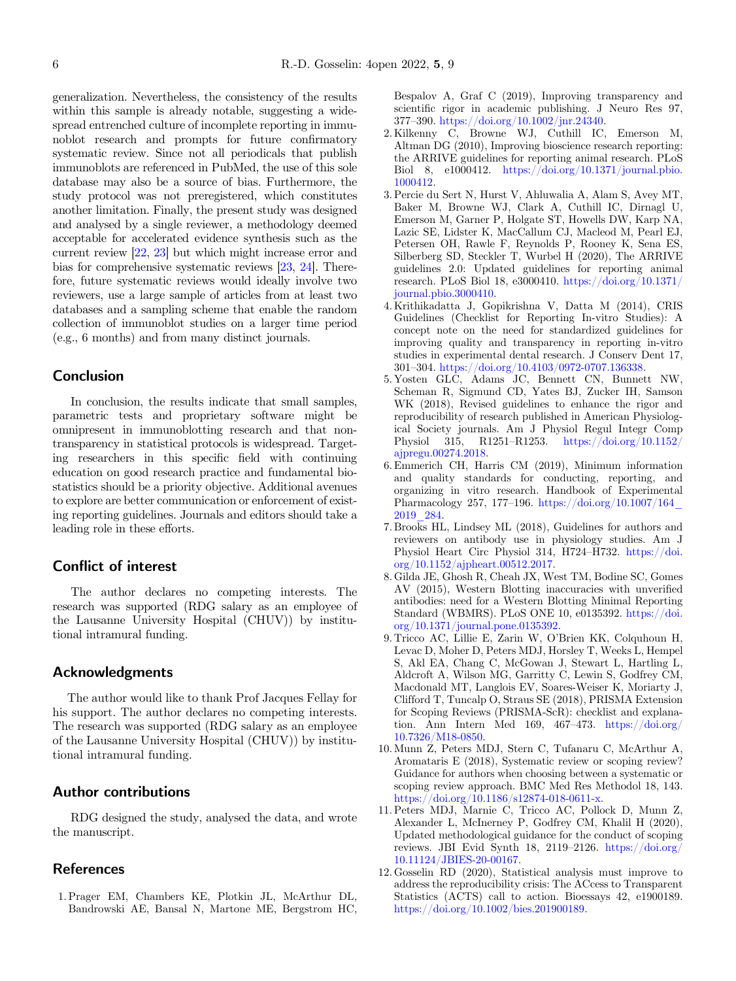<span id="page-5-0"></span>generalization. Nevertheless, the consistency of the results within this sample is already notable, suggesting a widespread entrenched culture of incomplete reporting in immunoblot research and prompts for future confirmatory systematic review. Since not all periodicals that publish immunoblots are referenced in PubMed, the use of this sole database may also be a source of bias. Furthermore, the study protocol was not preregistered, which constitutes another limitation. Finally, the present study was designed and analysed by a single reviewer, a methodology deemed acceptable for accelerated evidence synthesis such as the current review [[22,](#page-6-0) [23](#page-6-0)] but which might increase error and bias for comprehensive systematic reviews [[23,](#page-6-0) [24\]](#page-6-0). Therefore, future systematic reviews would ideally involve two reviewers, use a large sample of articles from at least two databases and a sampling scheme that enable the random collection of immunoblot studies on a larger time period (e.g., 6 months) and from many distinct journals.

## Conclusion

In conclusion, the results indicate that small samples, parametric tests and proprietary software might be omnipresent in immunoblotting research and that nontransparency in statistical protocols is widespread. Targeting researchers in this specific field with continuing education on good research practice and fundamental biostatistics should be a priority objective. Additional avenues to explore are better communication or enforcement of existing reporting guidelines. Journals and editors should take a leading role in these efforts.

## Conflict of interest

The author declares no competing interests. The research was supported (RDG salary as an employee of the Lausanne University Hospital (CHUV)) by institutional intramural funding.

### Acknowledgments

The author would like to thank Prof Jacques Fellay for his support. The author declares no competing interests. The research was supported (RDG salary as an employee of the Lausanne University Hospital (CHUV)) by institutional intramural funding.

# Author contributions

RDG designed the study, analysed the data, and wrote the manuscript.

## **References**

1. Prager EM, Chambers KE, Plotkin JL, McArthur DL, Bandrowski AE, Bansal N, Martone ME, Bergstrom HC, Bespalov A, Graf C (2019), Improving transparency and scientific rigor in academic publishing. J Neuro Res 97, <sup>377</sup>–390. <https://doi.org/10.1002/jnr.24340>.

- 2. Kilkenny C, Browne WJ, Cuthill IC, Emerson M, Altman DG (2010), Improving bioscience research reporting: the ARRIVE guidelines for reporting animal research. PLoS Biol 8, e1000412. [https://doi.org/10.1371/journal.pbio.](https://doi.org/10.1371/journal.pbio.1000412) [1000412](https://doi.org/10.1371/journal.pbio.1000412).
- 3. Percie du Sert N, Hurst V, Ahluwalia A, Alam S, Avey MT, Baker M, Browne WJ, Clark A, Cuthill IC, Dirnagl U, Emerson M, Garner P, Holgate ST, Howells DW, Karp NA, Lazic SE, Lidster K, MacCallum CJ, Macleod M, Pearl EJ, Petersen OH, Rawle F, Reynolds P, Rooney K, Sena ES, Silberberg SD, Steckler T, Wurbel H (2020), The ARRIVE guidelines 2.0: Updated guidelines for reporting animal research. PLoS Biol 18, e3000410. [https://doi.org/10.1371/](https://doi.org/10.1371/journal.pbio.3000410) [journal.pbio.3000410.](https://doi.org/10.1371/journal.pbio.3000410)
- 4. Krithikadatta J, Gopikrishna V, Datta M (2014), CRIS Guidelines (Checklist for Reporting In-vitro Studies): A concept note on the need for standardized guidelines for improving quality and transparency in reporting in-vitro studies in experimental dental research. J Conserv Dent 17, <sup>301</sup>–304. [https://doi.org/10.4103/0972-0707.136338.](https://doi.org/10.4103/0972-0707.136338)
- 5. Yosten GLC, Adams JC, Bennett CN, Bunnett NW, Scheman R, Sigmund CD, Yates BJ, Zucker IH, Samson WK (2018), Revised guidelines to enhance the rigor and reproducibility of research published in American Physiological Society journals. Am J Physiol Regul Integr Comp Physiol 315, R1251–R1253. [https://doi.org/10.1152/](https://doi.org/10.1152/ajpregu.00274.2018) [ajpregu.00274.2018](https://doi.org/10.1152/ajpregu.00274.2018).
- 6. Emmerich CH, Harris CM (2019), Minimum information and quality standards for conducting, reporting, and organizing in vitro research. Handbook of Experimental Pharmacology 257, 177–196. [https://doi.org/10.1007/164\\_](https://doi.org/10.1007/164_2019_284) [2019\\_284](https://doi.org/10.1007/164_2019_284).
- 7. Brooks HL, Lindsey ML (2018), Guidelines for authors and reviewers on antibody use in physiology studies. Am J Physiol Heart Circ Physiol 314, H724–H732. [https://doi.](https://doi.org/10.1152/ajpheart.00512.2017) [org/10.1152/ajpheart.00512.2017](https://doi.org/10.1152/ajpheart.00512.2017).
- 8. Gilda JE, Ghosh R, Cheah JX, West TM, Bodine SC, Gomes AV (2015), Western Blotting inaccuracies with unverified antibodies: need for a Western Blotting Minimal Reporting Standard (WBMRS). PLoS ONE 10, e0135392. [https://doi.](https://doi.org/10.1371/journal.pone.0135392) [org/10.1371/journal.pone.0135392.](https://doi.org/10.1371/journal.pone.0135392)
- 9. Tricco AC, Lillie E, Zarin W, O'Brien KK, Colquhoun H, Levac D, Moher D, Peters MDJ, Horsley T, Weeks L, Hempel S, Akl EA, Chang C, McGowan J, Stewart L, Hartling L, Aldcroft A, Wilson MG, Garritty C, Lewin S, Godfrey CM, Macdonald MT, Langlois EV, Soares-Weiser K, Moriarty J, Clifford T, Tuncalp O, Straus SE (2018), PRISMA Extension for Scoping Reviews (PRISMA-ScR): checklist and explanation. Ann Intern Med 169, 467–473. [https://doi.org/](https://doi.org/10.7326/M18-0850) [10.7326/M18-0850.](https://doi.org/10.7326/M18-0850)
- 10. Munn Z, Peters MDJ, Stern C, Tufanaru C, McArthur A, Aromataris E (2018), Systematic review or scoping review? Guidance for authors when choosing between a systematic or scoping review approach. BMC Med Res Methodol 18, 143. <https://doi.org/10.1186/s12874-018-0611-x>.
- 11. Peters MDJ, Marnie C, Tricco AC, Pollock D, Munn Z, Alexander L, McInerney P, Godfrey CM, Khalil H (2020), Updated methodological guidance for the conduct of scoping reviews. JBI Evid Synth 18, 2119–2126. [https://doi.org/](https://doi.org/10.11124/JBIES-20-00167) [10.11124/JBIES-20-00167.](https://doi.org/10.11124/JBIES-20-00167)
- 12. Gosselin RD (2020), Statistical analysis must improve to address the reproducibility crisis: The ACcess to Transparent Statistics (ACTS) call to action. Bioessays 42, e1900189. <https://doi.org/10.1002/bies.201900189>.